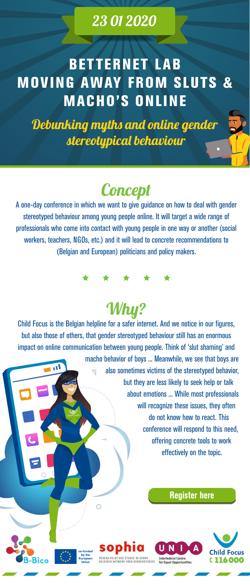### 23 01 2020

# **BETTERNET LAB MOVING AWAY FROM SLUTS & MACHO'S ONLINE**

Debunking myths and online gender stereotypical behaviour

# **Concept**

A one-day conference in which we want to give guidance on how to deal with gender stereotyped behaviour among young people online. It will target a wide range of professionals who come into contact with young people in one way or another (social workers, teachers, NGOs, etc.) and it will lead to concrete recommendations to (Belgian and European) politicians and policy makers.

\* \* \* \* \*

# Why?

Child Focus is the Belgian helpline for a safer internet. And we notice in our figures, but also those of others, that gender stereotyped behaviour still has an enormous impact on online communication between young people. Think of 'slut shaming' and macho behavior of boys ... Meanwhile, we see that boys are also sometimes victims of the stereotyped behavior, but they are less likely to seek help or talk about emotions ... While most professionals will recognize these issues, they often do not know how to react. This conference will respond to this need, offering concrete tools to work effectively on the topic.

RÉSEAU BELGE DES ÉTUDES DE GENRE

BELGISCH NETWERK VOOR GENDERSTUDIES

### **[Register here](https://forms.gle/mfcKjRLRY9EsvF9L8)**

**Interfederal Centre** 

for Equal Opportunities



co-funded by the

**European Union**